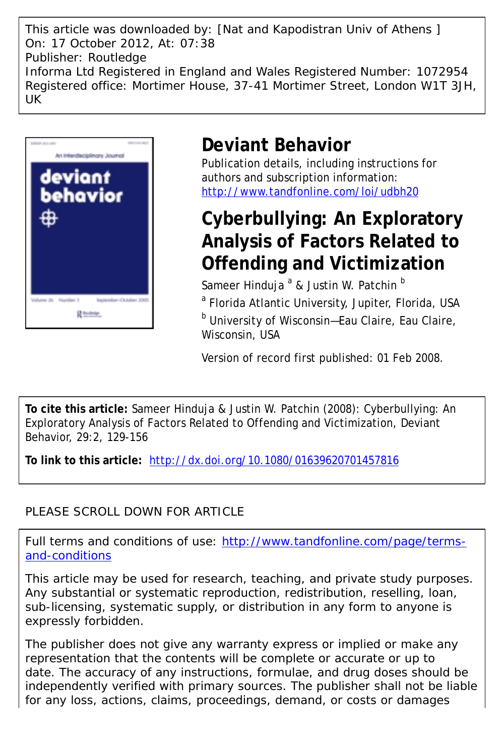This article was downloaded by: [Nat and Kapodistran Univ of Athens ] On: 17 October 2012, At: 07:38 Publisher: Routledge Informa Ltd Registered in England and Wales Registered Number: 1072954 Registered office: Mortimer House, 37-41 Mortimer Street, London W1T 3JH, UK



# **Deviant Behavior**

Publication details, including instructions for authors and subscription information: <http://www.tandfonline.com/loi/udbh20>

# **Cyberbullying: An Exploratory Analysis of Factors Related to Offending and Victimization**

Sameer Hinduja <sup>a</sup> & Justin W. Patchin <sup>b</sup> <sup>a</sup> Florida Atlantic University, Jupiter, Florida, USA <sup>b</sup> University of Wisconsin–Eau Claire, Eau Claire, Wisconsin, USA

Version of record first published: 01 Feb 2008.

**To cite this article:** Sameer Hinduja & Justin W. Patchin (2008): Cyberbullying: An Exploratory Analysis of Factors Related to Offending and Victimization, Deviant Behavior, 29:2, 129-156

**To link to this article:** <http://dx.doi.org/10.1080/01639620701457816>

# PLEASE SCROLL DOWN FOR ARTICLE

Full terms and conditions of use: [http://www.tandfonline.com/page/terms](http://www.tandfonline.com/page/terms-and-conditions)[and-conditions](http://www.tandfonline.com/page/terms-and-conditions)

This article may be used for research, teaching, and private study purposes. Any substantial or systematic reproduction, redistribution, reselling, loan, sub-licensing, systematic supply, or distribution in any form to anyone is expressly forbidden.

The publisher does not give any warranty express or implied or make any representation that the contents will be complete or accurate or up to date. The accuracy of any instructions, formulae, and drug doses should be independently verified with primary sources. The publisher shall not be liable for any loss, actions, claims, proceedings, demand, or costs or damages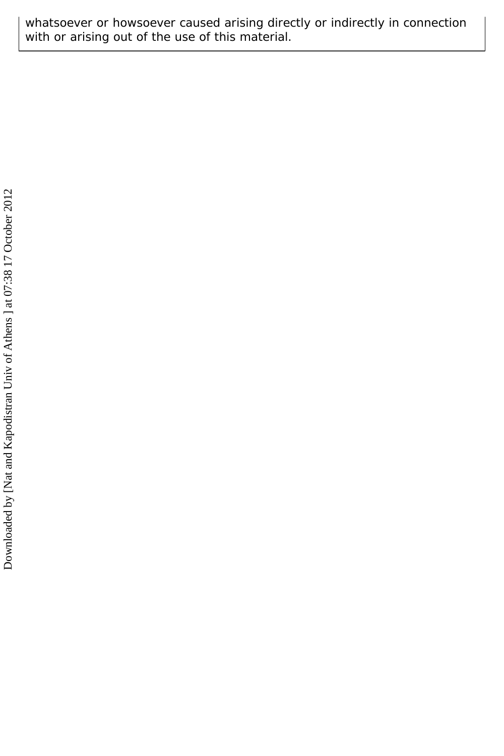whatsoever or howsoever caused arising directly or indirectly in connection with or arising out of the use of this material.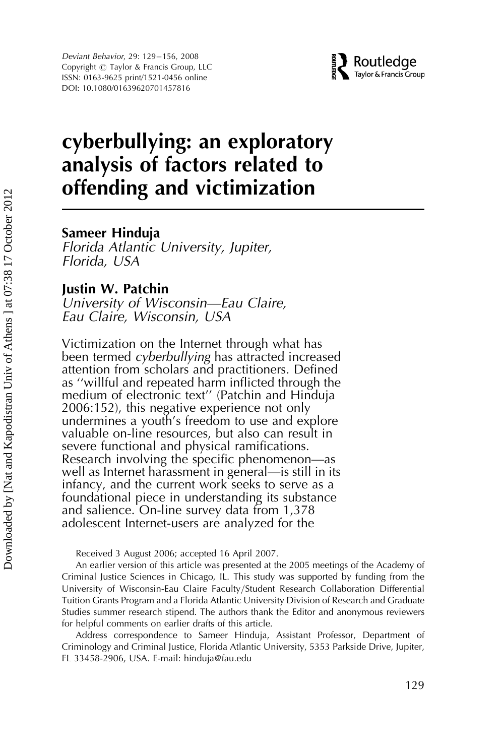Deviant Behavior, 29: 129-156, 2008 Copyright  $\oslash$  Taylor & Francis Group, LLC ISSN: 0163-9625 print/1521-0456 online DOI: 10.1080/01639620701457816



# cyberbullying: an exploratory analysis of factors related to offending and victimization

Sameer Hinduja

Florida Atlantic University, Jupiter, Florida, USA

## Justin W. Patchin

University of Wisconsin—Eau Claire, Eau Claire, Wisconsin, USA

Victimization on the Internet through what has been termed *cyberbullying* has attracted increased attention from scholars and practitioners. Defined as ''willful and repeated harm inflicted through the medium of electronic text'' (Patchin and Hinduja 2006:152), this negative experience not only undermines a youth's freedom to use and explore valuable on-line resources, but also can result in severe functional and physical ramifications. Research involving the specific phenomenon—as well as Internet harassment in general—is still in its infancy, and the current work seeks to serve as a foundational piece in understanding its substance and salience. On-line survey data from 1,378 adolescent Internet-users are analyzed for the

Received 3 August 2006; accepted 16 April 2007.

An earlier version of this article was presented at the 2005 meetings of the Academy of Criminal Justice Sciences in Chicago, IL. This study was supported by funding from the University of Wisconsin-Eau Claire Faculty/Student Research Collaboration Differential Tuition Grants Program and a Florida Atlantic University Division of Research and Graduate Studies summer research stipend. The authors thank the Editor and anonymous reviewers for helpful comments on earlier drafts of this article.

Address correspondence to Sameer Hinduja, Assistant Professor, Department of Criminology and Criminal Justice, Florida Atlantic University, 5353 Parkside Drive, Jupiter, FL 33458-2906, USA. E-mail: hinduja@fau.edu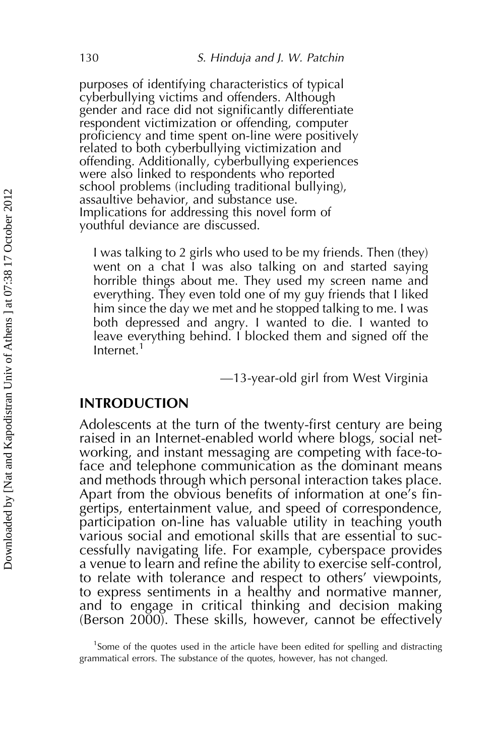purposes of identifying characteristics of typical cyberbullying victims and offenders. Although gender and race did not significantly differentiate respondent victimization or offending, computer proficiency and time spent on-line were positively related to both cyberbullying victimization and offending. Additionally, cyberbullying experiences were also linked to respondents who reported school problems (including traditional bullying), assaultive behavior, and substance use. Implications for addressing this novel form of youthful deviance are discussed.

I was talking to 2 girls who used to be my friends. Then (they) went on a chat I was also talking on and started saying horrible things about me. They used my screen name and everything. They even told one of my guy friends that I liked him since the day we met and he stopped talking to me. I was both depressed and angry. I wanted to die. I wanted to leave everything behind. I blocked them and signed off the Internet.<sup>1</sup>

—13-year-old girl from West Virginia

## INTRODUCTION

Adolescents at the turn of the twenty-first century are being raised in an Internet-enabled world where blogs, social networking, and instant messaging are competing with face-toface and telephone communication as the dominant means and methods through which personal interaction takes place. Apart from the obvious benefits of information at one's fingertips, entertainment value, and speed of correspondence, participation on-line has valuable utility in teaching youth various social and emotional skills that are essential to successfully navigating life. For example, cyberspace provides a venue to learn and refine the ability to exercise self-control, to relate with tolerance and respect to others' viewpoints, to express sentiments in a healthy and normative manner, and to engage in critical thinking and decision making  $(Berson 2000)$ . These skills, however, cannot be effectively

<sup>&</sup>lt;sup>1</sup>Some of the quotes used in the article have been edited for spelling and distracting grammatical errors. The substance of the quotes, however, has not changed.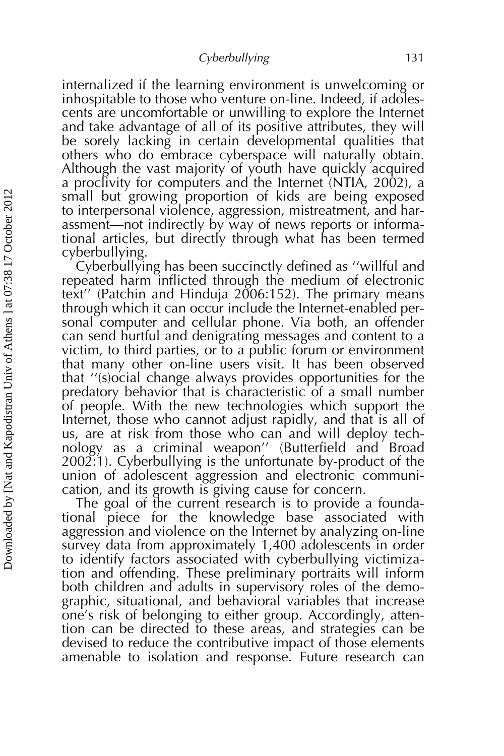internalized if the learning environment is unwelcoming or inhospitable to those who venture on-line. Indeed, if adolescents are uncomfortable or unwilling to explore the Internet and take advantage of all of its positive attributes, they will be sorely lacking in certain developmental qualities that others who do embrace cyberspace will naturally obtain. Although the vast majority of youth have quickly acquired a proclivity for computers and the Internet (NTIA, 2002), a small but growing proportion of kids are being exposed to interpersonal violence, aggression, mistreatment, and harassment—not indirectly by way of news reports or informational articles, but directly through what has been termed cyberbullying.

Cyberbullying has been succinctly defined as ''willful and repeated harm inflicted through the medium of electronic text'' (Patchin and Hinduja 2006:152). The primary means through which it can occur include the Internet-enabled personal computer and cellular phone. Via both, an offender can send hurtful and denigrating messages and content to a victim, to third parties, or to a public forum or environment that many other on-line users visit. It has been observed that ''(s)ocial change always provides opportunities for the predatory behavior that is characteristic of a small number of people. With the new technologies which support the Internet, those who cannot adjust rapidly, and that is all of us, are at risk from those who can and will deploy technology as a criminal weapon" (Butterfield and Broad 2002:1). Cyberbullying is the unfortunate by-product of the union of adolescent aggression and electronic communication, and its growth is giving cause for concern.

The goal of the current research is to provide a foundational piece for the knowledge base associated with aggression and violence on the Internet by analyzing on-line survey data from approximately 1,400 adolescents in order to identify factors associated with cyberbullying victimization and offending. These preliminary portraits will inform both children and adults in supervisory roles of the demographic, situational, and behavioral variables that increase one's risk of belonging to either group. Accordingly, attention can be directed to these areas, and strategies can be devised to reduce the contributive impact of those elements amenable to isolation and response. Future research can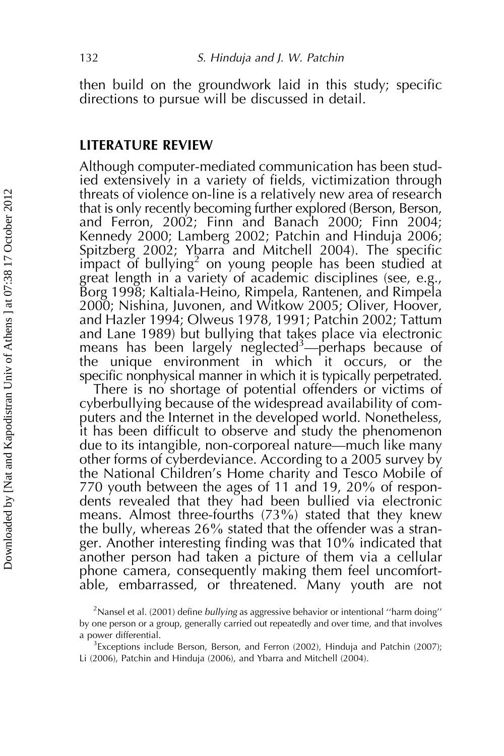then build on the groundwork laid in this study; specific directions to pursue will be discussed in detail.

## LITERATURE REVIEW

Although computer-mediated communication has been studied extensively in a variety of fields, victimization through threats of violence on-line is a relatively new area of research that is only recently becoming further explored (Berson, Berson, and Ferron, 2002; Finn and Banach 2000; Finn 2004; Kennedy 2000; Lamberg 2002; Patchin and Hinduja 2006; Spitzberg 2002; Ybarra and Mitchell 2004). The specific impact of bullying<sup>2</sup> on young people has been studied at great length in a variety of academic disciplines (see, e.g., Borg 1998; Kaltiala-Heino, Rimpela, Rantenen, and Rimpela 2000; Nishina, Juvonen, and Witkow 2005; Oliver, Hoover, and Hazler 1994; Olweus 1978, 1991; Patchin 2002; Tattum and Lane 1989) but bullying that takes place via electronic means has been largely neglected<sup>3</sup>—perhaps because of the unique environment in which it occurs, or the

specific nonphysical manner in which it is typically perpetrated. There is no shortage of potential offenders or victims of cyberbullying because of the widespread availability of computers and the Internet in the developed world. Nonetheless, it has been difficult to observe and study the phenomenon due to its intangible, non-corporeal nature—much like many other forms of cyberdeviance. According to a 2005 survey by the National Children's Home charity and Tesco Mobile of 770 youth between the ages of 11 and 19, 20% of respondents revealed that they had been bullied via electronic means. Almost three-fourths (73%) stated that they knew the bully, whereas 26% stated that the offender was a stranger. Another interesting finding was that 10% indicated that another person had taken a picture of them via a cellular phone camera, consequently making them feel uncomfortable, embarrassed, or threatened. Many youth are not

 $^2$ Nansel et al. (2001) define *bullying* as aggressive behavior or intentional "harm doing" by one person or a group, generally carried out repeatedly and over time, and that involves a power differential.

Exceptions include Berson, Berson, and Ferron (2002), Hinduja and Patchin (2007); Li (2006), Patchin and Hinduja (2006), and Ybarra and Mitchell (2004).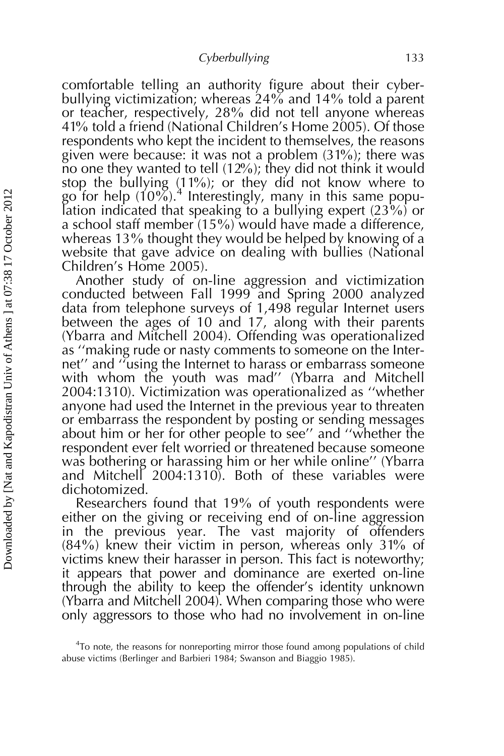comfortable telling an authority figure about their cyberbullying victimization; whereas 24% and 14% told a parent or teacher, respectively, 28% did not tell anyone whereas 41% told a friend (National Children's Home 2005). Of those respondents who kept the incident to themselves, the reasons given were because: it was not a problem (31%); there was no one they wanted to tell (12%); they did not think it would stop the bullying  $(11\%)$ ; or they did not know where to go for help  $(10\%)$ .<sup>4</sup> Interestingly, many in this same population indicated that speaking to a bullying expert (23%) or a school staff member (15%) would have made a difference, whereas 13% thought they would be helped by knowing of a website that gave advice on dealing with bullies (National Children's Home 2005).

Another study of on-line aggression and victimization conducted between Fall 1999 and Spring 2000 analyzed data from telephone surveys of 1,498 regular Internet users between the ages of 10 and 17, along with their parents (Ybarra and Mitchell 2004). Offending was operationalized as ''making rude or nasty comments to someone on the Internet'' and ''using the Internet to harass or embarrass someone with whom the youth was mad'' (Ybarra and Mitchell 2004:1310). Victimization was operationalized as ''whether anyone had used the Internet in the previous year to threaten or embarrass the respondent by posting or sending messages about him or her for other people to see" and "whether the respondent ever felt worried or threatened because someone was bothering or harassing him or her while online'' (Ybarra and Mitchell 2004:1310). Both of these variables were dichotomized.

Researchers found that 19% of youth respondents were either on the giving or receiving end of on-line aggression in the previous year. The vast majority of offenders (84%) knew their victim in person, whereas only 31% of victims knew their harasser in person. This fact is noteworthy; it appears that power and dominance are exerted on-line through the ability to keep the offender's identity unknown (Ybarra and Mitchell 2004). When comparing those who were only aggressors to those who had no involvement in on-line

<sup>&</sup>lt;sup>4</sup>To note, the reasons for nonreporting mirror those found among populations of child abuse victims (Berlinger and Barbieri 1984; Swanson and Biaggio 1985).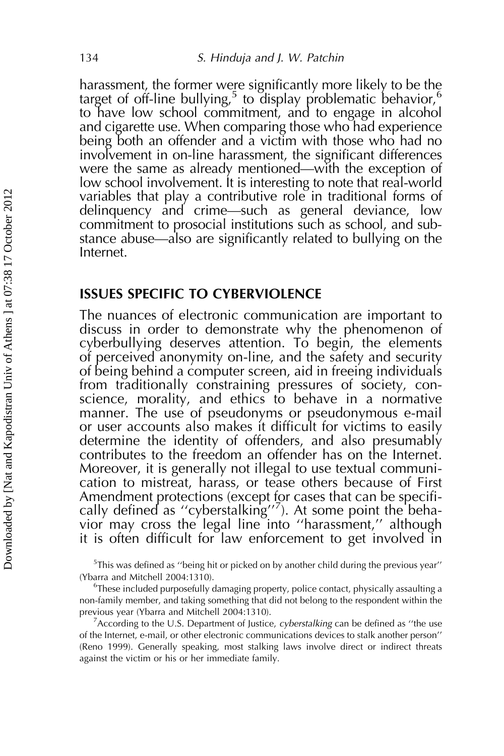harassment, the former were significantly more likely to be the target of off-line bullying,<sup>5</sup> to display problematic behavior,<sup>6</sup> to have low school commitment, and to engage in alcohol and cigarette use. When comparing those who had experience being both an offender and a victim with those who had no involvement in on-line harassment, the significant differences were the same as already mentioned—with the exception of low school involvement. It is interesting to note that real-world variables that play a contributive role in traditional forms of delinquency and crime—such as general deviance, low commitment to prosocial institutions such as school, and substance abuse—also are significantly related to bullying on the Internet.

## ISSUES SPECIFIC TO CYBERVIOLENCE

The nuances of electronic communication are important to discuss in order to demonstrate why the phenomenon of cyberbullying deserves attention. To begin, the elements of perceived anonymity on-line, and the safety and security of being behind a computer screen, aid in freeing individuals from traditionally constraining pressures of society, conscience, morality, and ethics to behave in a normative manner. The use of pseudonyms or pseudonymous e-mail or user accounts also makes it difficult for victims to easily determine the identity of offenders, and also presumably contributes to the freedom an offender has on the Internet. Moreover, it is generally not illegal to use textual communication to mistreat, harass, or tease others because of First Amendment protections (except for cases that can be specifically defined as "cyberstalking"<sup>7</sup>). At some point the behavior may cross the legal line into ''harassment,'' although it is often difficult for law enforcement to get involved in

<sup>5</sup>This was defined as "being hit or picked on by another child during the previous year" (Ybarra and Mitchell 2004:1310).

<sup>6</sup>These included purposefully damaging property, police contact, physically assaulting a non-family member, and taking something that did not belong to the respondent within the previous year (Ybarra and Mitchell 2004:1310).

<sup>7</sup> According to the U.S. Department of Justice, *cyberstalking* can be defined as "the use of the Internet, e-mail, or other electronic communications devices to stalk another person'' (Reno 1999). Generally speaking, most stalking laws involve direct or indirect threats against the victim or his or her immediate family.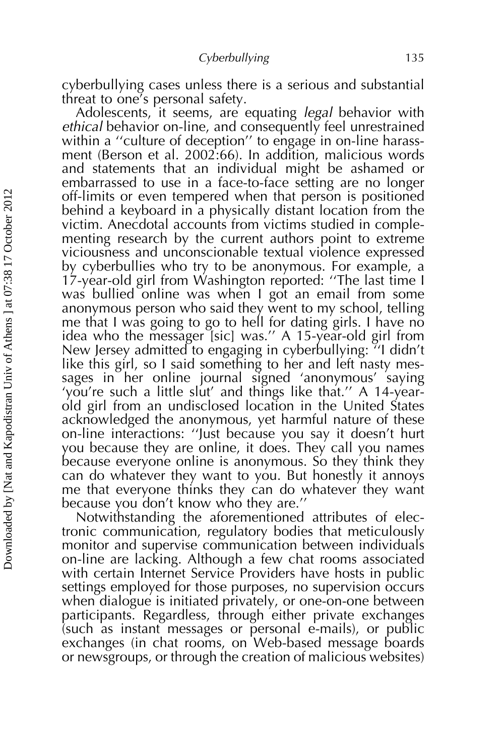cyberbullying cases unless there is a serious and substantial threat to one's personal safety.

Adolescents, it seems, are equating legal behavior with ethical behavior on-line, and consequently feel unrestrained within a ''culture of deception'' to engage in on-line harassment (Berson et al. 2002:66). In addition, malicious words and statements that an individual might be ashamed or embarrassed to use in a face-to-face setting are no longer off-limits or even tempered when that person is positioned behind a keyboard in a physically distant location from the victim. Anecdotal accounts from victims studied in complementing research by the current authors point to extreme viciousness and unconscionable textual violence expressed by cyberbullies who try to be anonymous. For example, a 17-year-old girl from Washington reported: ''The last time I was bullied online was when I got an email from some anonymous person who said they went to my school, telling me that I was going to go to hell for dating girls. I have no idea who the messager [sic] was.'' A 15-year-old girl from New Jersey admitted to engaging in cyberbullying: ''I didn't like this girl, so I said something to her and left nasty messages in her online journal signed 'anonymous' saying 'you're such a little slut' and things like that." A 14-yearold girl from an undisclosed location in the United States acknowledged the anonymous, yet harmful nature of these on-line interactions: ''Just because you say it doesn't hurt you because they are online, it does. They call you names because everyone online is anonymous. So they think they can do whatever they want to you. But honestly it annoys me that everyone thinks they can do whatever they want

because you don't know who they are."<br>Notwithstanding the aforementioned attributes of electronic communication, regulatory bodies that meticulously monitor and supervise communication between individuals on-line are lacking. Although a few chat rooms associated with certain Internet Service Providers have hosts in public settings employed for those purposes, no supervision occurs when dialogue is initiated privately, or one-on-one between participants. Regardless, through either private exchanges (such as instant messages or personal e-mails), or public exchanges (in chat rooms, on Web-based message boards or newsgroups, or through the creation of malicious websites)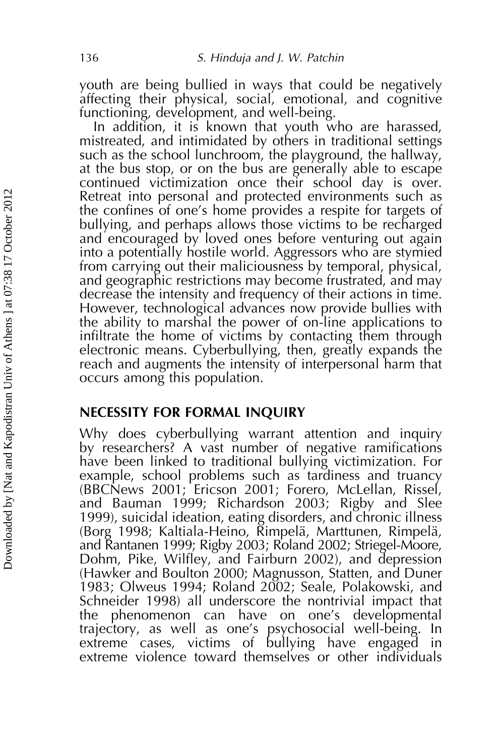youth are being bullied in ways that could be negatively affecting their physical, social, emotional, and cognitive functioning, development, and well-being.

In addition, it is known that youth who are harassed, mistreated, and intimidated by others in traditional settings such as the school lunchroom, the playground, the hallway, at the bus stop, or on the bus are generally able to escape continued victimization once their school day is over. Retreat into personal and protected environments such as the confines of one's home provides a respite for targets of bullying, and perhaps allows those victims to be recharged and encouraged by loved ones before venturing out again into a potentially hostile world. Aggressors who are stymied from carrying out their maliciousness by temporal, physical, and geographic restrictions may become frustrated, and may decrease the intensity and frequency of their actions in time. However, technological advances now provide bullies with the ability to marshal the power of on-line applications to infiltrate the home of victims by contacting them through electronic means. Cyberbullying, then, greatly expands the reach and augments the intensity of interpersonal harm that occurs among this population.

# NECESSITY FOR FORMAL INQUIRY

Why does cyberbullying warrant attention and inquiry by researchers? A vast number of negative ramifications have been linked to traditional bullying victimization. For example, school problems such as tardiness and truancy (BBCNews 2001; Ericson 2001; Forero, McLellan, Rissel, and Bauman 1999; Richardson 2003; Rigby and Slee 1999), suicidal ideation, eating disorders, and chronic illness<br>(Borg 1998; Kaltiala-Heino, Rimpelä, Marttunen, Rimpelä, and Rantanen 1999; Rigby 2003; Roland 2002; Striegel-Moore, Dohm, Pike, Wilfley, and Fairburn 2002), and depression (Hawker and Boulton 2000; Magnusson, Statten, and Duner 1983; Olweus 1994; Roland 2002; Seale, Polakowski, and Schneider 1998) all underscore the nontrivial impact that the phenomenon can have on one's developmental trajectory, as well as one's psychosocial well-being. In extreme cases, victims of bullying have engaged in extreme violence toward themselves or other individuals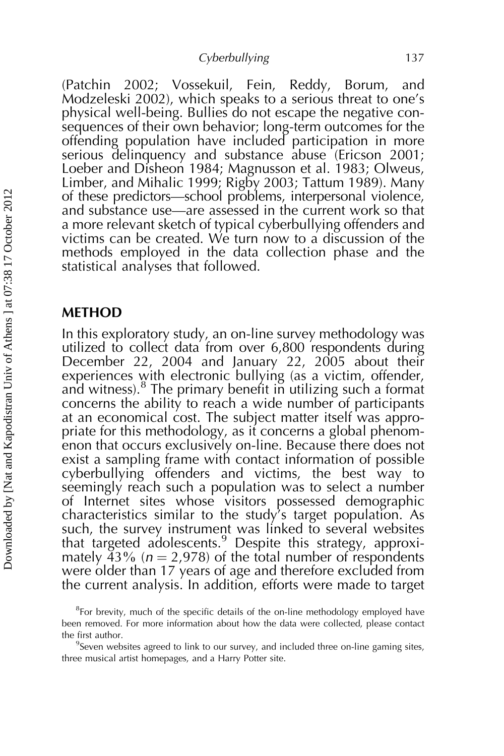(Patchin 2002; Vossekuil, Fein, Reddy, Borum, and Modzeleski 2002), which speaks to a serious threat to one's physical well-being. Bullies do not escape the negative consequences of their own behavior; long-term outcomes for the offending population have included participation in more serious delinquency and substance abuse (Ericson 2001; Loeber and Disheon 1984; Magnusson et al. 1983; Olweus, Limber, and Mihalic 1999; Rigby 2003; Tattum 1989). Many of these predictors—school problems, interpersonal violence, and substance use—are assessed in the current work so that a more relevant sketch of typical cyberbullying offenders and victims can be created. We turn now to a discussion of the methods employed in the data collection phase and the statistical analyses that followed.

#### METHOD

In this exploratory study, an on-line survey methodology was utilized to collect data from over 6,800 respondents during December 22, 2004 and January 22, 2005 about their experiences with electronic bullying (as a victim, offender, and witness). $8$  The primary benefit in utilizing such a format concerns the ability to reach a wide number of participants at an economical cost. The subject matter itself was appropriate for this methodology, as it concerns a global phenomenon that occurs exclusively on-line. Because there does not exist a sampling frame with contact information of possible cyberbullying offenders and victims, the best way to seemingly reach such a population was to select a number of Internet sites whose visitors possessed demographic characteristics similar to the study's target population. As such, the survey instrument was linked to several websites that targeted adolescents.<sup>9</sup> Despite this strategy, approximately  $\frac{1}{4}3\%$  ( $n = 2.978$ ) of the total number of respondents were older than 17 years of age and therefore excluded from the current analysis. In addition, efforts were made to target

<sup>9</sup>Seven websites agreed to link to our survey, and included three on-line gaming sites, three musical artist homepages, and a Harry Potter site.

<sup>&</sup>lt;sup>8</sup>For brevity, much of the specific details of the on-line methodology employed have been removed. For more information about how the data were collected, please contact the first author.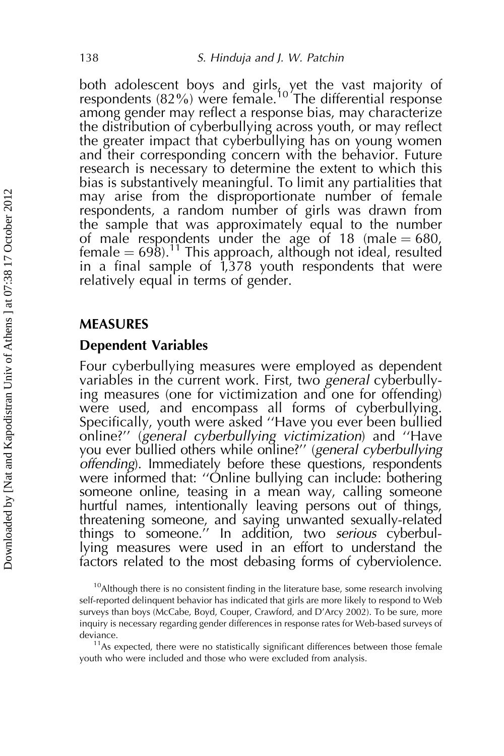both adolescent boys and girls, yet the vast majority of respondents (82%) were female.<sup>10</sup> The differential response among gender may reflect a response bias, may characterize the distribution of cyberbullying across youth, or may reflect the greater impact that cyberbullying has on young women and their corresponding concern with the behavior. Future research is necessary to determine the extent to which this bias is substantively meaningful. To limit any partialities that may arise from the disproportionate number of female respondents, a random number of girls was drawn from the sample that was approximately equal to the number of male respondents under the age of 18 (male  $= 680$ , female =  $698$ ).<sup>11</sup> This approach, although not ideal, resulted in a final sample of 1,378 youth respondents that were relatively equal in terms of gender.

#### MEASURES

#### Dependent Variables

Four cyberbullying measures were employed as dependent variables in the current work. First, two general cyberbullying measures (one for victimization and one for offending) were used, and encompass all forms of cyberbullying. Specifically, youth were asked ''Have you ever been bullied online?'' (general cyberbullying victimization) and ''Have you ever bullied others while online?'' (general cyberbullying offending). Immediately before these questions, respondents were informed that: ''Online bullying can include: bothering someone online, teasing in a mean way, calling someone hurtful names, intentionally leaving persons out of things, threatening someone, and saying unwanted sexually-related things to someone." In addition, two serious cyberbullying measures were used in an effort to understand the factors related to the most debasing forms of cyberviolence.

 $10$ Although there is no consistent finding in the literature base, some research involving self-reported delinquent behavior has indicated that girls are more likely to respond to Web surveys than boys (McCabe, Boyd, Couper, Crawford, and D'Arcy 2002). To be sure, more inquiry is necessary regarding gender differences in response rates for Web-based surveys of

deviance.<br><sup>11</sup>As expected, there were no statistically significant differences between those female youth who were included and those who were excluded from analysis.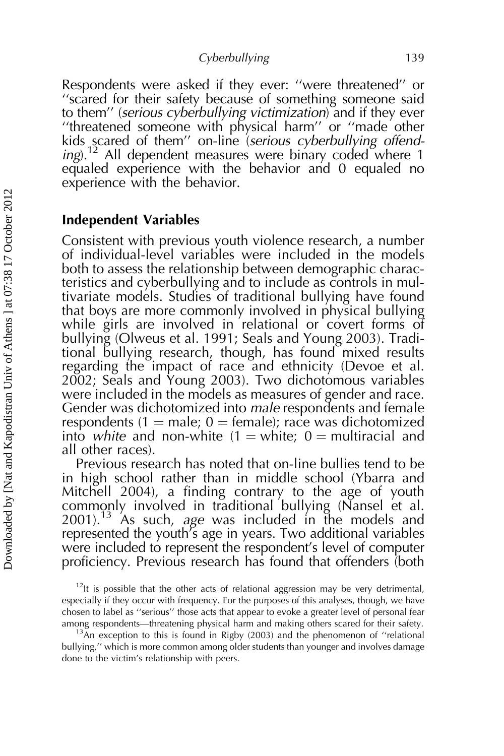Respondents were asked if they ever: ''were threatened'' or ''scared for their safety because of something someone said to them'' (serious cyberbullying victimization) and if they ever "threatened someone with physical harm" or "made other kids scared of them'' on-line (serious cyberbullying offending).<sup>12</sup> All dependent measures were binary coded where 1 equaled experience with the behavior and 0 equaled no experience with the behavior.

#### Independent Variables

Consistent with previous youth violence research, a number of individual-level variables were included in the models both to assess the relationship between demographic characteristics and cyberbullying and to include as controls in multivariate models. Studies of traditional bullying have found that boys are more commonly involved in physical bullying while girls are involved in relational or covert forms of bullying (Olweus et al. 1991; Seals and Young 2003). Traditional bullying research, though, has found mixed results regarding the impact of race and ethnicity (Devoe et al. 2002; Seals and Young 2003). Two dichotomous variables were included in the models as measures of gender and race. Gender was dichotomized into *male* respondents and female<br>respondents (1 = male; 0 = female); race was dichotomized into white and non-white  $(1 = \text{white}; 0 = \text{multiracial}$  and all other races).

Previous research has noted that on-line bullies tend to be in high school rather than in middle school (Ybarra and Mitchell 2004), a finding contrary to the age of youth commonly involved in traditional bullying (Nansel et al.  $2001$ <sup>13</sup> As such, age was included in the models and represented the youth's age in years. Two additional variables were included to represent the respondent's level of computer proficiency. Previous research has found that offenders (both

<sup>&</sup>lt;sup>12</sup>It is possible that the other acts of relational aggression may be very detrimental, especially if they occur with frequency. For the purposes of this analyses, though, we have chosen to label as ''serious'' those acts that appear to evoke a greater level of personal fear among respondents—threatening physical harm and making others scared for their safety.<br><sup>13</sup>An exception to this is found in Rigby (2003) and the phenomenon of "relational

bullying,'' which is more common among older students than younger and involves damage done to the victim's relationship with peers.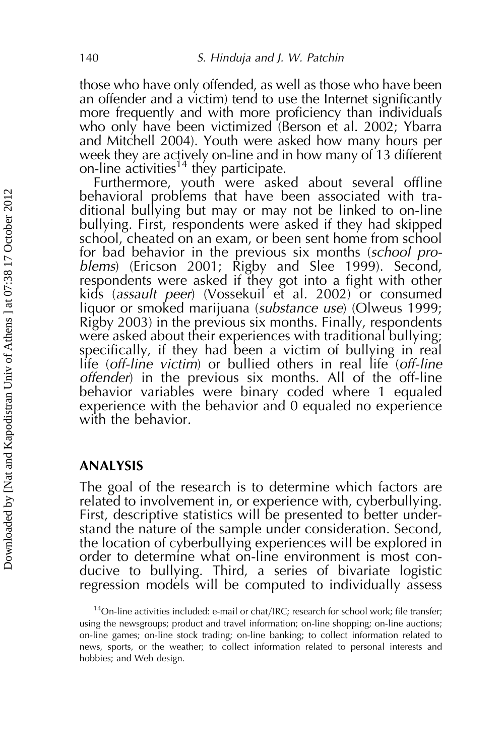those who have only offended, as well as those who have been an offender and a victim) tend to use the Internet significantly more frequently and with more proficiency than individuals who only have been victimized (Berson et al. 2002; Ybarra and Mitchell 2004). Youth were asked how many hours per week they are actively on-line and in how many of 13 different on-line activities<sup>14</sup> they participate.<br>Furthermore, youth were asked about several offline

behavioral problems that have been associated with traditional bullying but may or may not be linked to on-line bullying. First, respondents were asked if they had skipped school, cheated on an exam, or been sent home from school for bad behavior in the previous six months (school problems) (Ericson 2001; Rigby and Slee 1999). Second, respondents were asked if they got into a fight with other kids (assault peer) (Vossekuil et al. 2002) or consumed liquor or smoked marijuana (substance use) (Olweus 1999; Rigby 2003) in the previous six months. Finally, respondents were asked about their experiences with traditional bullying; specifically, if they had been a victim of bullying in real life (off-line victim) or bullied others in real life (off-line offender) in the previous six months. All of the off-line behavior variables were binary coded where 1 equaled experience with the behavior and 0 equaled no experience with the behavior.

#### ANALYSIS

The goal of the research is to determine which factors are related to involvement in, or experience with, cyberbullying. First, descriptive statistics will be presented to better understand the nature of the sample under consideration. Second, the location of cyberbullying experiences will be explored in order to determine what on-line environment is most conducive to bullying. Third, a series of bivariate logistic regression models will be computed to individually assess

 $14$ On-line activities included: e-mail or chat/IRC; research for school work; file transfer; using the newsgroups; product and travel information; on-line shopping; on-line auctions; on-line games; on-line stock trading; on-line banking; to collect information related to news, sports, or the weather; to collect information related to personal interests and hobbies; and Web design.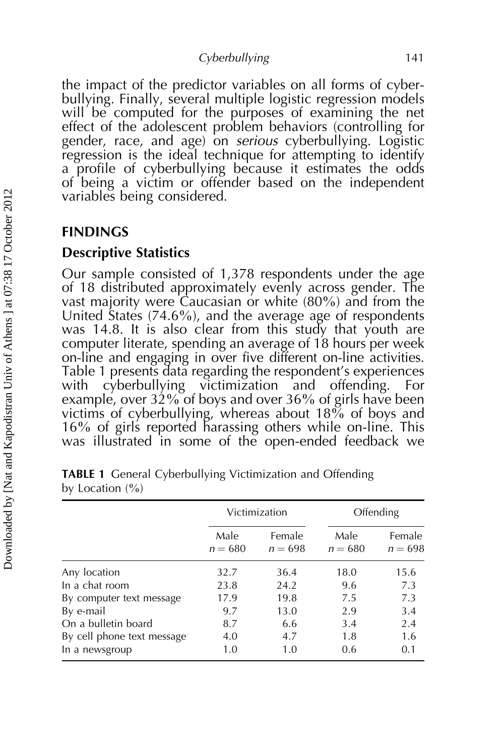the impact of the predictor variables on all forms of cyberbullying. Finally, several multiple logistic regression models will be computed for the purposes of examining the net effect of the adolescent problem behaviors (controlling for gender, race, and age) on *serious* cyberbullying. Logistic regression is the ideal technique for attempting to identify a profile of cyberbullying because it estimates the odds of being a victim or offender based on the independent variables being considered.

# FINDINGS

# Descriptive Statistics

Our sample consisted of 1,378 respondents under the age of 18 distributed approximately evenly across gender. The vast majority were Caucasian or white (80%) and from the United States (74.6%), and the average age of respondents was 14.8. It is also clear from this study that youth are computer literate, spending an average of 18 hours per week on-line and engaging in over five different on-line activities. Table 1 presents data regarding the respondent's experiences with cyberbullying victimization and offending. For example, over 32% of boys and over 36% of girls have been victims of cyberbullying, whereas about 18% of boys and 16% of girls reported harassing others while on-line. This was illustrated in some of the open-ended feedback we

|                            |                   | Victimization       |                   | Offending           |  |
|----------------------------|-------------------|---------------------|-------------------|---------------------|--|
|                            | Male<br>$n = 680$ | Female<br>$n = 698$ | Male<br>$n = 680$ | Female<br>$n = 698$ |  |
| Any location               | 32.7              | 36.4                | 18.0              | 15.6                |  |
| In a chat room             | 23.8              | 24.2                | 9.6               | 7.3                 |  |
| By computer text message   | 17.9              | 19.8                | 7.5               | 7.3                 |  |
| By e-mail                  | 9.7<br>13.0       |                     | 2.9               | 3.4                 |  |
| On a bulletin board        | 8.7               | 6.6                 | 3.4               | 2.4                 |  |
| By cell phone text message | 4.0               | 4.7                 | 1.8               | 1.6                 |  |
| In a newsgroup             | 1.0               | 1.0                 | 0.6               | 0.1                 |  |

**TABLE 1** General Cyberbullying Victimization and Offending by Location  $(\% )$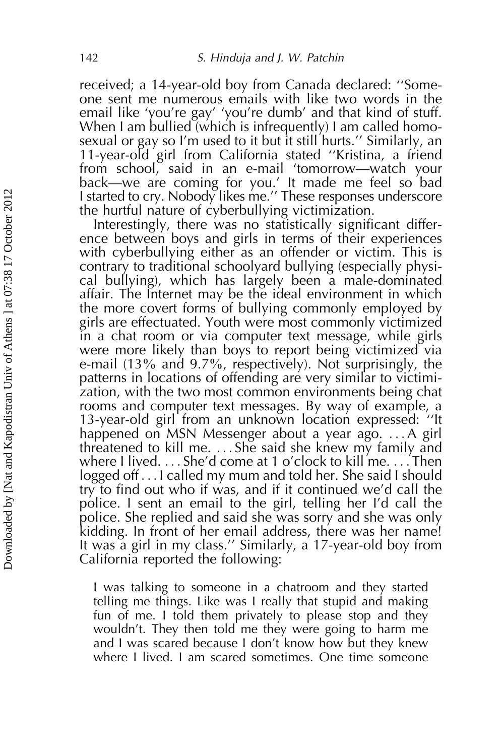received; a 14-year-old boy from Canada declared: ''Someone sent me numerous emails with like two words in the email like 'you're gay' 'you're dumb' and that kind of stuff. When I am bullied (which is infrequently) I am called homosexual or gay so I'm used to it but it still hurts.'' Similarly, an 11-year-old girl from California stated ''Kristina, a friend from school, said in an e-mail 'tomorrow—watch your back—we are coming for you.' It made me feel so bad I started to cry. Nobody likes me.'' These responses underscore the hurtful nature of cyberbullying victimization.

Interestingly, there was no statistically significant difference between boys and girls in terms of their experiences with cyberbullying either as an offender or victim. This is contrary to traditional schoolyard bullying (especially physical bullying), which has largely been a male-dominated affair. The Internet may be the ideal environment in which the more covert forms of bullying commonly employed by girls are effectuated. Youth were most commonly victimized in a chat room or via computer text message, while girls were more likely than boys to report being victimized via e-mail (13% and 9.7%, respectively). Not surprisingly, the patterns in locations of offending are very similar to victimization, with the two most common environments being chat rooms and computer text messages. By way of example, a 13-year-old girl from an unknown location expressed: ''It happened on MSN Messenger about a year ago. ...A girl threatened to kill me. ... She said she knew my family and where I lived. ... She'd come at 1 o'clock to kill me. ... Then logged off ... I called my mum and told her. She said I should try to find out who if was, and if it continued we'd call the police. I sent an email to the girl, telling her I'd call the police. She replied and said she was sorry and she was only kidding. In front of her email address, there was her name! It was a girl in my class.'' Similarly, a 17-year-old boy from California reported the following:

I was talking to someone in a chatroom and they started telling me things. Like was I really that stupid and making fun of me. I told them privately to please stop and they wouldn't. They then told me they were going to harm me and I was scared because I don't know how but they knew where I lived. I am scared sometimes. One time someone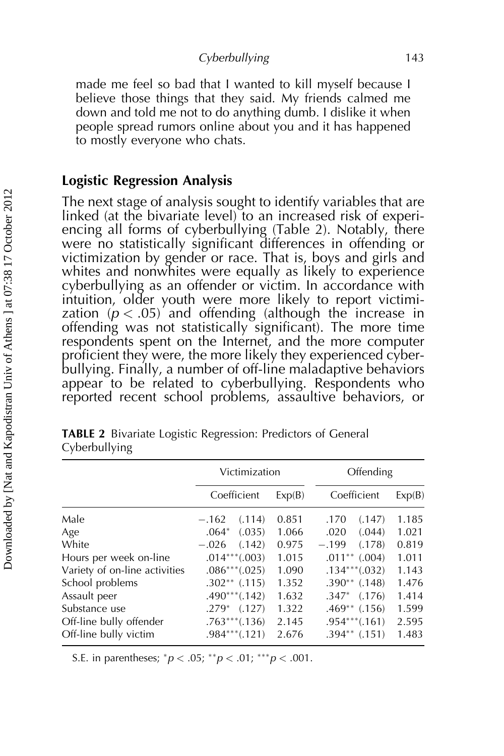made me feel so bad that I wanted to kill myself because I believe those things that they said. My friends calmed me down and told me not to do anything dumb. I dislike it when people spread rumors online about you and it has happened to mostly everyone who chats.

## Logistic Regression Analysis

The next stage of analysis sought to identify variables that are linked (at the bivariate level) to an increased risk of experiencing all forms of cyberbullying (Table 2). Notably, there were no statistically significant differences in offending or victimization by gender or race. That is, boys and girls and whites and nonwhites were equally as likely to experience cyberbullying as an offender or victim. In accordance with intuition, older youth were more likely to report victimi-<br>zation ( $p < .05$ ) and offending (although the increase in offending was not statistically significant). The more time respondents spent on the Internet, and the more computer proficient they were, the more likely they experienced cyberbullying. Finally, a number of off-line maladaptive behaviors appear to be related to cyberbullying. Respondents who reported recent school problems, assaultive behaviors, or

TABLE 2 Bivariate Logistic Regression: Predictors of General Cyberbullying

|                               | Victimization     |        | Offending          |        |
|-------------------------------|-------------------|--------|--------------------|--------|
|                               | Coefficient       | Exp(B) | Coefficient        | Exp(B) |
| Male                          | $-.162$<br>(.114) | 0.851  | (.147)<br>.170     | 1.185  |
| Age                           | (.035)<br>$.064*$ | 1.066  | (.044)<br>.020     | 1.021  |
| White                         | (.142)<br>$-.026$ | 0.975  | (.178)<br>$-.199$  | 0.819  |
| Hours per week on-line        | $.014***(.003)$   | 1.015  | $.011***$ $(.004)$ | 1.011  |
| Variety of on-line activities | $.086***(.025)$   | 1.090  | $.134***(.032)$    | 1.143  |
| School problems               | $.302**$ (.115)   | 1.352  | $.390**$ (.148)    | 1.476  |
| Assault peer                  | $.490***(.142)$   | 1.632  | $.347^*$ (.176)    | 1.414  |
| Substance use                 | (.127)<br>$.279*$ | 1.322  | $.469**$ (.156)    | 1.599  |
| Off-line bully offender       | $.763***(0.136)$  | 2.145  | $.954***(.161)$    | 2.595  |
| Off-line bully victim         | $.984***(.121)$   | 2.676  | $.394**$ $(.151)$  | 1.483  |

S.E. in parentheses;  ${}^*p < .05;$   ${}^{**}p < .01;$   ${}^{***}p < .001$ .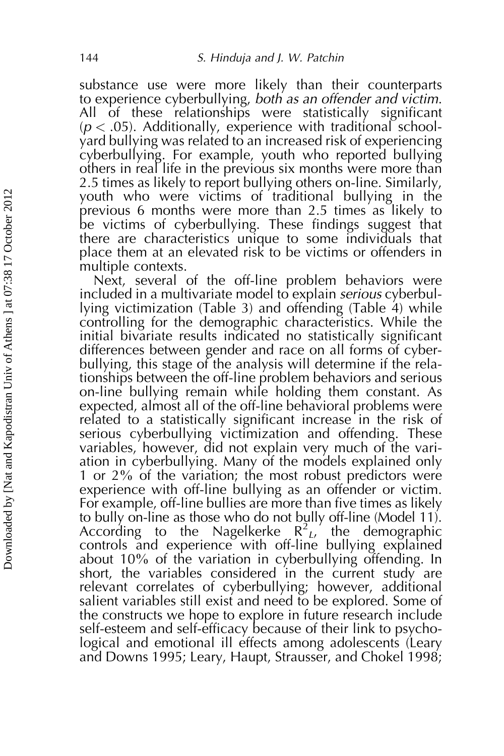substance use were more likely than their counterparts to experience cyberbullying, both as an offender and victim. All of these relationships were statistically significant  $(p < .05)$ . Additionally, experience with traditional schoolyard bullying was related to an increased risk of experiencing cyberbullying. For example, youth who reported bullying others in real life in the previous six months were more than 2.5 times as likely to report bullying others on-line. Similarly, youth who were victims of traditional bullying in the previous 6 months were more than 2.5 times as likely to be victims of cyberbullying. These findings suggest that there are characteristics unique to some individuals that place them at an elevated risk to be victims or offenders in multiple contexts.

Next, several of the off-line problem behaviors were included in a multivariate model to explain *serious* cyberbul-<br>lying victimization (Table 3) and offending (Table 4) while controlling for the demographic characteristics. While the initial bivariate results indicated no statistically significant differences between gender and race on all forms of cyberbullying, this stage of the analysis will determine if the relationships between the off-line problem behaviors and serious on-line bullying remain while holding them constant. As expected, almost all of the off-line behavioral problems were related to a statistically significant increase in the risk of serious cyberbullying victimization and offending. These variables, however, did not explain very much of the variation in cyberbullying. Many of the models explained only 1 or 2% of the variation; the most robust predictors were experience with off-line bullying as an offender or victim. For example, off-line bullies are more than five times as likely to bully on-line as those who do not bully off-line (Model 11). According to the Nagelkerke  $R^2L$ , the demographic controls and experience with off-line bullying explained about 10% of the variation in cyberbullying offending. In short, the variables considered in the current study are relevant correlates of cyberbullying; however, additional salient variables still exist and need to be explored. Some of the constructs we hope to explore in future research include self-esteem and self-efficacy because of their link to psychological and emotional ill effects among adolescents (Leary and Downs 1995; Leary, Haupt, Strausser, and Chokel 1998;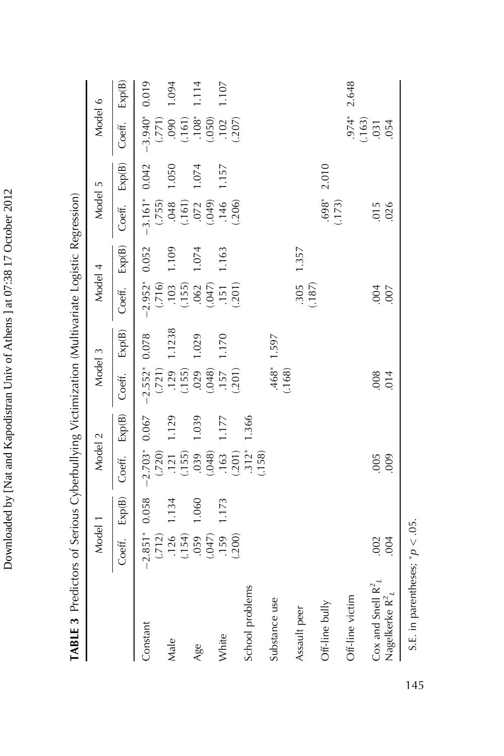Downloaded by [Nat and Kapodistran Univ of Athens ] at 07:38 17 October 2012 Downloaded by [Nat and Kapodistran Univ of Athens ] at 07:38 17 October 2012

0.019 2.648  $Exp(B)$ 1.114 Coeff. Exp(B) Coeff. Exp(B) Coeff. Exp(B) Coeff. Exp(B) Coeff. Exp(B) Coeff. Exp(B) 1.094 1.107 Model 6 Model 1 Model 2 Model 3 Model 4 Model 5 Model 6  $-3.940*$ 090  $.974*$ (.771) (.163)  $0.042 -3.940^*$ (.161) (.050) 1.074 .108-(.207)  $\bigcirc$ d"-line victim . $\bigcirc$ d"-d" .  $.031$ <br> $.054$ Coeff. 1.050 .090 Nagelkerke R2L .004 .009 .014 .007 .026 .054 1.157 .102 Cox and Snell R2L .002 .005 .008 .004 .015 .031  $Exp(B)$ 1.050 2.010  $-3.161*0.042$ 1.074 1.157 Model 5  $.048$ <br>(.161)<br> $.072$ (.049)  $.698*$  $0.052$   $-3.161$ <sup>\*</sup> (.755) (.206) Off-line bully .698-(.173) Coeff.  $015$  $.026$ 1.109 .048 1.074 .072 1.163 .146  $Exp(B)$ 0.052 1.109 1.074 1.163 1.357 Model 4  $-2.952*$  $151$ 305  $0.078$   $-2.952$ <sup>\*</sup> (.201) (.187)  $007$ Coeff. (.716) (.155) (.047)  $.004$ 1.1238 .103 1.029 .062 Assault peer .305 1.170 .151 1.1238  $Exp(B)$  $0.078$ 1.029 1.170 1.597 Model 3  $.468*$ .157  $-2.552*$ (.048) (.201) (.168)  $0.067 -2.552$ <sup>\*</sup> Substance use .468<sup>\*</sup> (.721) (.155)  $.008$  $014$ Coeff. 1.129 .129 1.039 .029 1.177 .157  $Exp(B)$ 0.067 1.129 1.039 1.177 1.366 Model 2  $-2.703*$ .039 (.048)  $0.058$   $-2.703$ <sup>\*</sup> (.720) (.155) (.201) (.158) School problems .312<sup>\*</sup> Coeff.  $.005$  $000$ 1.060 .039 1.173 .163 1.134 .121  $Exp(B)$ 0.058 1.134 1.060 1.173 Model 1  $-2.851*$ Coeff. Constant  $-2.851$ <sup>\*</sup> (2)<br>1253 ዓክም<br>(.715 ዓክም<br>(.700)  $.002$  $.004$ Male .126 Age  $.059$ White .159 Cox and Snell  $R^2_L$ School problems Nagelkerke $\mathrm{R}^2_{\phantom{2}L}$ Off-line victim Substance use Off-line bully Assault peer Constant White Male Age

TABLE 3 Predictors of Serious Cyberbullying Victimization (Multivariate Logistic Regression) TABLE 3 Predictors of Serious Cyberbullying Victimization (Multivariate Logistic Regression)

S.E. in parentheses;  $*$ 

 $p < .05$ .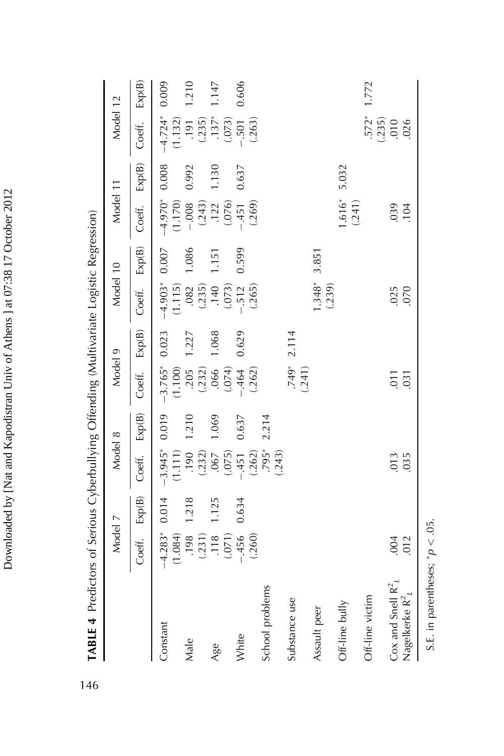| I                                                             |
|---------------------------------------------------------------|
|                                                               |
| くしゃくしく<br>۱                                                   |
|                                                               |
|                                                               |
|                                                               |
| ֖֖֪ׅ֪֪ׅ֚֚֚֚֚֚֚֚֚֚֚֬֝֝֝֝֝֬֝֝֬֝֝֬֝֬֝֬֝֬֝֓֬֝֬֝֓֬֝֬֝֬֝֓֬֝֬֝֓֬֝֬֝֬ |
| í<br>ו<br>ו                                                   |
|                                                               |
|                                                               |
|                                                               |
| ֠                                                             |
|                                                               |
|                                                               |
|                                                               |
| ļ                                                             |

TABLE 4 Predictors of Serious Cyberbullying Offending (Multivariate Logistic Regression) TABLE 4 Predictors of Serious Cyberbullying Offending (Multivariate Logistic Regression)

|                                             | Model 7              |        | Model 8              |        | Model 9              |        | Model 10             |        | Model 11             |        | Model 12                    |        |
|---------------------------------------------|----------------------|--------|----------------------|--------|----------------------|--------|----------------------|--------|----------------------|--------|-----------------------------|--------|
|                                             | Coeff.               | Exp(B) | Coeff.               | Exp(B) | Coeff.               | Exp(B) | Coeff.               | Exp(B) | Coeff.               | Exp(B) | Coeff.                      | Exp(B) |
| Constant                                    | $-4.283*$<br>(1.084) | 0.014  | $-3.945*$<br>(1.111) | 0.019  | $-3.765*$<br>(1.100) | 0.023  | $-4.903*$<br>(1.115) | 0.007  | $-4.970*$<br>(1.170) | 0.008  | $-4.724*$<br>(1.132)        | 0.009  |
| Male                                        | (.231)<br>.198       | 1.218  | (.232)<br>.190       | 1.210  | $.205$<br>$(.232)$   | 1.227  | (.235)<br>.082       | 1.086  | $-0.008$<br>(.243)   | 0.992  | (.235)<br>191               | 1.210  |
| Age                                         | .118<br>(.071)       | 1.125  | (.075)<br>.067       | 1.069  | (074)<br>.066        | 1.068  | (0.073)              | 1.151  | $.122$<br>$(.076)$   | 1.130  | $.137$ *<br>(.073)          | 1.147  |
| White                                       | $-456$<br>(.260)     | 0.634  | (.262)<br>$-451$     | 0.637  | (.262)<br>.464       | 0.629  | (.265)<br>$-512$     | 0.599  | (.269)<br>.451       | 0.637  | (.263)<br>-.501             | 0.606  |
| School problems                             |                      |        | $.795*$<br>(.243)    | 2.214  |                      |        |                      |        |                      |        |                             |        |
| Substance use                               |                      |        |                      |        | $(1+24)$             | 2.114  |                      |        |                      |        |                             |        |
| Assault peer                                |                      |        |                      |        |                      |        | 1.348*<br>(.239)     | 3.851  |                      |        |                             |        |
| Off-line bully                              |                      |        |                      |        |                      |        |                      |        | 1.616*<br>(.241)     | 5.032  |                             |        |
| Off-line victim                             |                      |        |                      |        |                      |        |                      |        |                      |        | $.572$ *<br>(.235)<br>(.010 | 1.772  |
| Cox and Snell $R^2_L$<br>Nagelkerke $R^2_L$ | .004<br>012          |        | .013<br>035          |        | 031<br>$-011$        |        | 025<br>070           |        | 039<br>.104          |        | 026                         |        |
| S.E. in parentheses; $p < .05$ .            |                      |        |                      |        |                      |        |                      |        |                      |        |                             |        |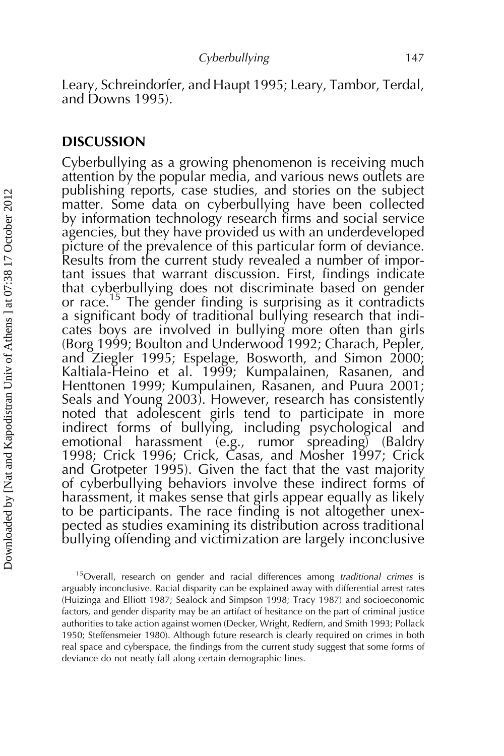Leary, Schreindorfer, and Haupt 1995; Leary, Tambor, Terdal, and Downs 1995).

### **DISCUSSION**

Cyberbullying as a growing phenomenon is receiving much attention by the popular media, and various news outlets are publishing reports, case studies, and stories on the subject matter. Some data on cyberbullying have been collected by information technology research firms and social service agencies, but they have provided us with an underdeveloped picture of the prevalence of this particular form of deviance. Results from the current study revealed a number of important issues that warrant discussion. First, findings indicate that cyberbullying does not discriminate based on gender or race.<sup>15</sup> The gender finding is surprising as it contradicts a significant body of traditional bullying research that indicates boys are involved in bullying more often than girls (Borg 1999; Boulton and Underwood 1992; Charach, Pepler, and Ziegler 1995; Espelage, Bosworth, and Simon 2000; Kaltiala-Heino et al. 1999; Kumpalainen, Rasanen, and Henttonen 1999; Kumpulainen, Rasanen, and Puura 2001; Seals and Young 2003). However, research has consistently noted that adolescent girls tend to participate in more indirect forms of bullying, including psychological and emotional harassment (e.g., rumor spreading) (Baldry 1998; Crick 1996; Crick, Casas, and Mosher 1997; Crick and Grotpeter 1995). Given the fact that the vast majority of cyberbullying behaviors involve these indirect forms of harassment, it makes sense that girls appear equally as likely to be participants. The race finding is not altogether unexpected as studies examining its distribution across traditional bullying offending and victimization are largely inconclusive

<sup>&</sup>lt;sup>15</sup>Overall, research on gender and racial differences among traditional crimes is arguably inconclusive. Racial disparity can be explained away with differential arrest rates (Huizinga and Elliott 1987; Sealock and Simpson 1998; Tracy 1987) and socioeconomic factors, and gender disparity may be an artifact of hesitance on the part of criminal justice authorities to take action against women (Decker, Wright, Redfern, and Smith 1993; Pollack 1950; Steffensmeier 1980). Although future research is clearly required on crimes in both real space and cyberspace, the findings from the current study suggest that some forms of deviance do not neatly fall along certain demographic lines.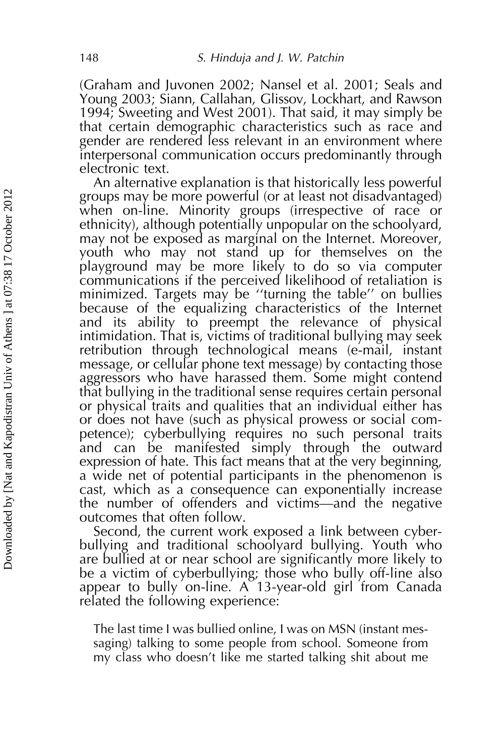(Graham and Juvonen 2002; Nansel et al. 2001; Seals and Young 2003; Siann, Callahan, Glissov, Lockhart, and Rawson 1994; Sweeting and West 2001). That said, it may simply be that certain demographic characteristics such as race and gender are rendered less relevant in an environment where interpersonal communication occurs predominantly through

electronic text.<br>An alternative explanation is that historically less powerful groups may be more powerful (or at least not disadvantaged) when on-line. Minority groups (irrespective of race or ethnicity), although potentially unpopular on the schoolyard, may not be exposed as marginal on the Internet. Moreover, youth who may not stand up for themselves on the playground may be more likely to do so via computer communications if the perceived likelihood of retaliation is minimized. Targets may be ''turning the table'' on bullies because of the equalizing characteristics of the Internet and its ability to preempt the relevance of physical intimidation. That is, victims of traditional bullying may seek retribution through technological means (e-mail, instant message, or cellular phone text message) by contacting those aggressors who have harassed them. Some might contend that bullying in the traditional sense requires certain personal or physical traits and qualities that an individual either has or does not have (such as physical prowess or social competence); cyberbullying requires no such personal traits and can be manifested simply through the outward expression of hate. This fact means that at the very beginning, a wide net of potential participants in the phenomenon is cast, which as a consequence can exponentially increase the number of offenders and victims—and the negative outcomes that often follow.

Second, the current work exposed a link between cyberbullying and traditional schoolyard bullying. Youth who are bullied at or near school are significantly more likely to be a victim of cyberbullying; those who bully off-line also appear to bully on-line. A 13-year-old girl from Canada related the following experience:

The last time I was bullied online, I was on MSN (instant messaging) talking to some people from school. Someone from my class who doesn't like me started talking shit about me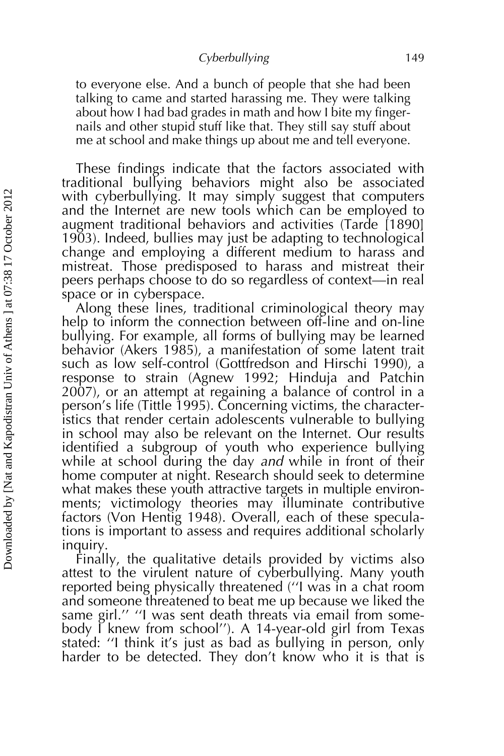to everyone else. And a bunch of people that she had been talking to came and started harassing me. They were talking about how I had bad grades in math and how I bite my fingernails and other stupid stuff like that. They still say stuff about me at school and make things up about me and tell everyone.

These findings indicate that the factors associated with traditional bullying behaviors might also be associated with cyberbullying. It may simply suggest that computers and the Internet are new tools which can be employed to augment traditional behaviors and activities (Tarde [1890] 1903). Indeed, bullies may just be adapting to technological change and employing a different medium to harass and mistreat. Those predisposed to harass and mistreat their peers perhaps choose to do so regardless of context—in real space or in cyberspace.

Along these lines, traditional criminological theory may help to inform the connection between off-line and on-line bullying. For example, all forms of bullying may be learned behavior (Akers 1985), a manifestation of some latent trait such as low self-control (Gottfredson and Hirschi 1990), a response to strain (Agnew 1992; Hinduja and Patchin 2007), or an attempt at regaining a balance of control in a person's life (Tittle 1995). Concerning victims, the characteristics that render certain adolescents vulnerable to bullying in school may also be relevant on the Internet. Our results identified a subgroup of youth who experience bullying while at school during the day and while in front of their home computer at night. Research should seek to determine what makes these youth attractive targets in multiple environments; victimology theories may illuminate contributive factors (Von Hentig 1948). Overall, each of these speculations is important to assess and requires additional scholarly inquiry.

Finally, the qualitative details provided by victims also attest to the virulent nature of cyberbullying. Many youth reported being physically threatened ("I was in a chat room and someone threatened to beat me up because we liked the same girl.'' ''I was sent death threats via email from somebody I knew from school"). A 14-year-old girl from Texas stated: ''I think it's just as bad as bullying in person, only harder to be detected. They don't know who it is that is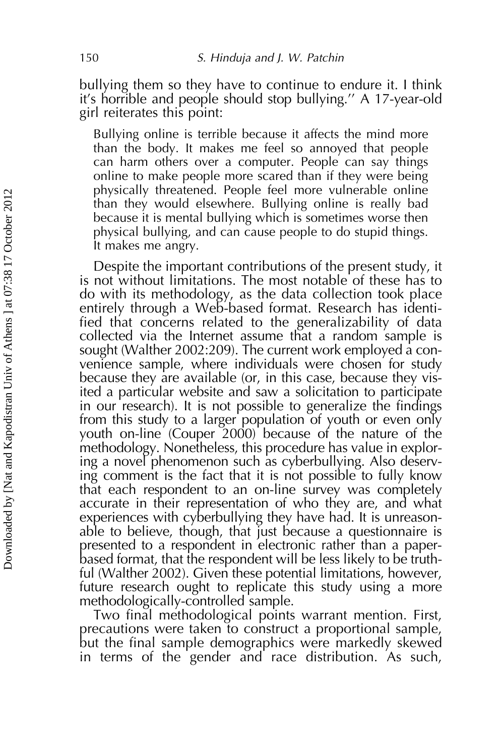bullying them so they have to continue to endure it. I think it's horrible and people should stop bullying.'' A 17-year-old girl reiterates this point:

Bullying online is terrible because it affects the mind more than the body. It makes me feel so annoyed that people can harm others over a computer. People can say things online to make people more scared than if they were being physically threatened. People feel more vulnerable online than they would elsewhere. Bullying online is really bad because it is mental bullying which is sometimes worse then physical bullying, and can cause people to do stupid things. It makes me angry.

Despite the important contributions of the present study, it is not without limitations. The most notable of these has to do with its methodology, as the data collection took place entirely through a Web-based format. Research has identified that concerns related to the generalizability of data collected via the Internet assume that a random sample is sought (Walther 2002:209). The current work employed a convenience sample, where individuals were chosen for study because they are available (or, in this case, because they visited a particular website and saw a solicitation to participate in our research). It is not possible to generalize the findings from this study to a larger population of youth or even only youth on-line (Couper 2000) because of the nature of the methodology. Nonetheless, this procedure has value in exploring a novel phenomenon such as cyberbullying. Also deserving comment is the fact that it is not possible to fully know that each respondent to an on-line survey was completely accurate in their representation of who they are, and what experiences with cyberbullying they have had. It is unreasonable to believe, though, that just because a questionnaire is presented to a respondent in electronic rather than a paperbased format, that the respondent will be less likely to be truthful (Walther 2002). Given these potential limitations, however, future research ought to replicate this study using a more methodologically-controlled sample.

Two final methodological points warrant mention. First, precautions were taken to construct a proportional sample, but the final sample demographics were markedly skewed in terms of the gender and race distribution. As such,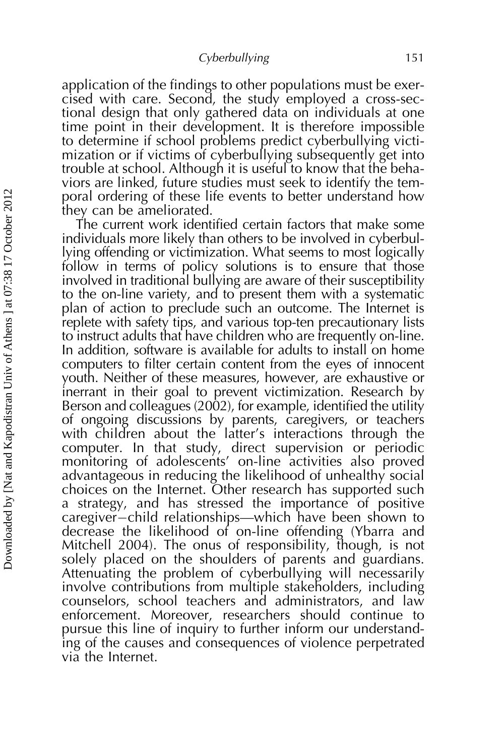application of the findings to other populations must be exercised with care. Second, the study employed a cross-sectional design that only gathered data on individuals at one time point in their development. It is therefore impossible to determine if school problems predict cyberbullying victimization or if victims of cyberbullying subsequently get into trouble at school. Although it is useful to know that the behaviors are linked, future studies must seek to identify the temporal ordering of these life events to better understand how they can be ameliorated.

The current work identified certain factors that make some individuals more likely than others to be involved in cyberbullying offending or victimization. What seems to most logically follow in terms of policy solutions is to ensure that those involved in traditional bullying are aware of their susceptibility<br>to the on-line variety, and to present them with a systematic plan of action to preclude such an outcome. The Internet is replete with safety tips, and various top-ten precautionary lists to instruct adults that have children who are frequently on-line. In addition, software is available for adults to install on home computers to filter certain content from the eyes of innocent youth. Neither of these measures, however, are exhaustive or inerrant in their goal to prevent victimization. Research by<br>Berson and colleagues (2002), for example, identified the utility of ongoing discussions by parents, caregivers, or teachers with children about the latter's interactions through the computer. In that study, direct supervision or periodic monitoring of adolescents' on-line activities also proved advantageous in reducing the likelihood of unhealthy social choices on the Internet. Other research has supported such a strategy, and has stressed the importance of positive caregiver–child relationships—which have been shown to decrease the likelihood of on-line offending (Ybarra and Mitchell 2004). The onus of responsibility, though, is not solely placed on the shoulders of parents and guardians. Attenuating the problem of cyberbullying will necessarily involve contributions from multiple stakeholders, including counselors, school teachers and administrators, and law enforcement. Moreover, researchers should continue to pursue this line of inquiry to further inform our understanding of the causes and consequences of violence perpetrated via the Internet.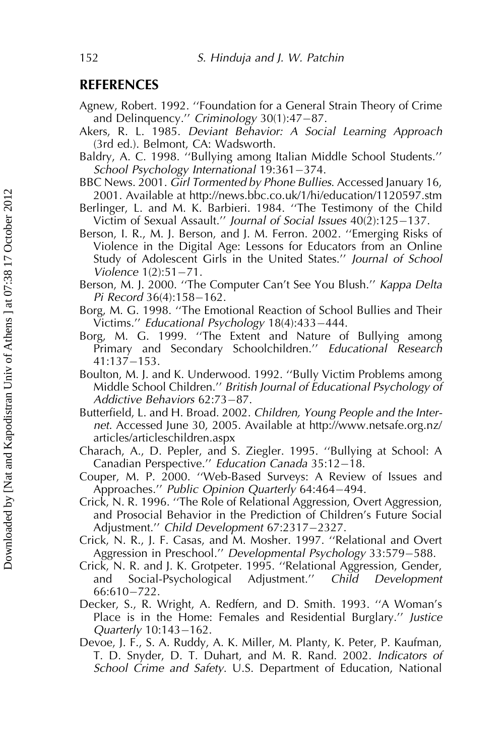#### REFERENCES

- Agnew, Robert. 1992. ''Foundation for a General Strain Theory of Crime and Delinquency.'' Criminology  $30(1):47-87$ .
- Akers, R. L. 1985. Deviant Behavior: A Social Learning Approach (3rd ed.). Belmont, CA: Wadsworth.
- Baldry, A. C. 1998. ''Bullying among Italian Middle School Students.'' School Psychology International  $19:361-374$ .
- BBC News. 2001. Girl Tormented by Phone Bullies. Accessed January 16, 2001. Available at http://news.bbc.co.uk/1/hi/education/1120597.stm
- Berlinger, L. and M. K. Barbieri. 1984. ''The Testimony of the Child Victim of Sexual Assault." Journal of Social Issues 40(2):125-137.
- Berson, I. R., M. J. Berson, and J. M. Ferron. 2002. ''Emerging Risks of Violence in the Digital Age: Lessons for Educators from an Online Study of Adolescent Girls in the United States.'' Journal of School  $V$ *iolence*  $1(2):51 - 71$ .
- Berson, M. J. 2000. ''The Computer Can't See You Blush.'' Kappa Delta Pi Record 36(4):158-162.
- Borg, M. G. 1998. ''The Emotional Reaction of School Bullies and Their Victims.'' Educational Psychology  $18(4):433-444$ .
- Borg, M. G. 1999. ''The Extent and Nature of Bullying among Primary and Secondary Schoolchildren." Educational Research 41:137-153.
- Boulton, M. J. and K. Underwood. 1992. ''Bully Victim Problems among Middle School Children.'' British Journal of Educational Psychology of Addictive Behaviors 62:73-87.
- Butterfield, L. and H. Broad. 2002. Children, Young People and the Internet. Accessed June 30, 2005. Available at http://www.netsafe.org.nz/ articles/articleschildren.aspx
- Charach, A., D. Pepler, and S. Ziegler. 1995. ''Bullying at School: A Canadian Perspective." Education Canada 35:12-18.
- Couper, M. P. 2000. ''Web-Based Surveys: A Review of Issues and Approaches.'' Public Opinion Quarterly 64:464–494.
- Crick, N. R. 1996. ''The Role of Relational Aggression, Overt Aggression, and Prosocial Behavior in the Prediction of Children's Future Social Adjustment." Child Development 67:2317-2327.
- Crick, N. R., J. F. Casas, and M. Mosher. 1997. ''Relational and Overt Aggression in Preschool." Developmental Psychology 33:579-588.
- Crick, N. R. and J. K. Grotpeter. 1995. ''Relational Aggression, Gender, and Social-Psychological Adjustment.'' Child Development 66:610-722.
- Decker, S., R. Wright, A. Redfern, and D. Smith. 1993. ''A Woman's Place is in the Home: Females and Residential Burglary.'' Justice Quarterly 10:143-162.
- Devoe, J. F., S. A. Ruddy, A. K. Miller, M. Planty, K. Peter, P. Kaufman, T. D. Snyder, D. T. Duhart, and M. R. Rand. 2002. Indicators of School Crime and Safety. U.S. Department of Education, National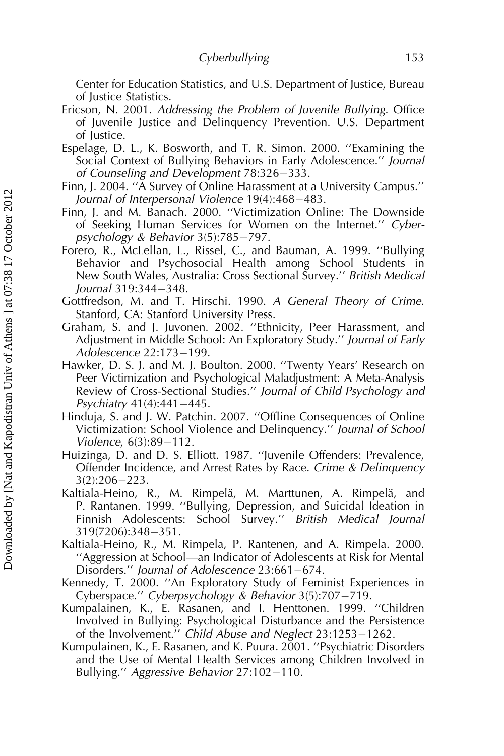Center for Education Statistics, and U.S. Department of Justice, Bureau of Justice Statistics.

- Ericson, N. 2001. Addressing the Problem of Juvenile Bullying. Office of Juvenile Justice and Delinquency Prevention. U.S. Department of Justice.
- Espelage, D. L., K. Bosworth, and T. R. Simon. 2000. ''Examining the Social Context of Bullying Behaviors in Early Adolescence.'' Journal of Counseling and Development 78:326–333.
- Finn, J. 2004. ''A Survey of Online Harassment at a University Campus.'' Journal of Interpersonal Violence 19(4):468–483.
- Finn, J. and M. Banach. 2000. ''Victimization Online: The Downside of Seeking Human Services for Women on the Internet.'' Cyberpsychology & Behavior  $3(5)$ :785-797.
- Forero, R., McLellan, L., Rissel, C., and Bauman, A. 1999. ''Bullying Behavior and Psychosocial Health among School Students in New South Wales, Australia: Cross Sectional Survey.'' British Medical Journal 319:344-348.
- Gottfredson, M. and T. Hirschi. 1990. A General Theory of Crime. Stanford, CA: Stanford University Press.
- Graham, S. and J. Juvonen. 2002. ''Ethnicity, Peer Harassment, and Adjustment in Middle School: An Exploratory Study.'' Journal of Early Adolescence 22:173-199.
- Hawker, D. S. J. and M. J. Boulton. 2000. ''Twenty Years' Research on Peer Victimization and Psychological Maladjustment: A Meta-Analysis Review of Cross-Sectional Studies.'' Journal of Child Psychology and *Psychiatry*  $41(4):441-445$ .
- Hinduja, S. and J. W. Patchin. 2007. ''Offline Consequences of Online Victimization: School Violence and Delinquency.'' Journal of School Violence, 6(3):89–112.
- Huizinga, D. and D. S. Elliott. 1987. ''Juvenile Offenders: Prevalence, Offender Incidence, and Arrest Rates by Race. Crime & Delinquency 3(2):206-223.
- Kaltiala-Heino, R., M. Rimpelä, M. Marttunen, A. Rimpelä, and P. Rantanen. 1999. ''Bullying, Depression, and Suicidal Ideation in Finnish Adolescents: School Survey.'' British Medical Journal 319(7206):348–351.
- Kaltiala-Heino, R., M. Rimpela, P. Rantenen, and A. Rimpela. 2000. ''Aggression at School—an Indicator of Adolescents at Risk for Mental Disorders.'' Journal of Adolescence 23:661–674.
- Kennedy, T. 2000. ''An Exploratory Study of Feminist Experiences in Cyberspace.'' Cyberpsychology & Behavior 3(5):707–719.
- Kumpalainen, K., E. Rasanen, and I. Henttonen. 1999. ''Children Involved in Bullying: Psychological Disturbance and the Persistence of the Involvement." Child Abuse and Neglect 23:1253-1262.
- Kumpulainen, K., E. Rasanen, and K. Puura. 2001. ''Psychiatric Disorders and the Use of Mental Health Services among Children Involved in Bullying." Aggressive Behavior 27:102-110.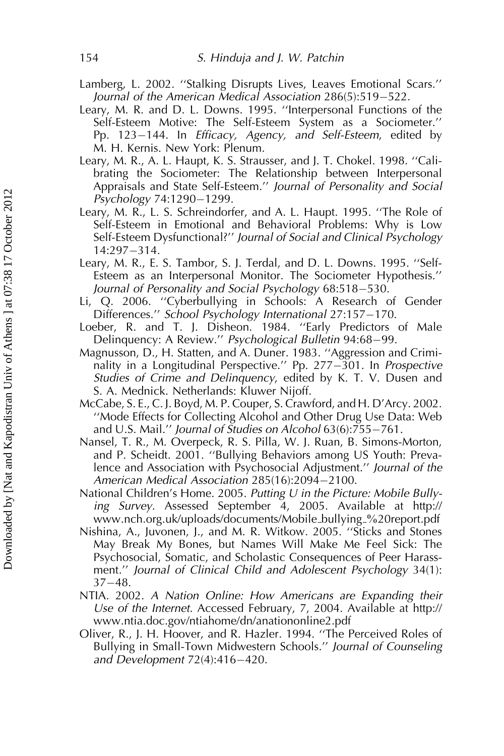- Lamberg, L. 2002. ''Stalking Disrupts Lives, Leaves Emotional Scars.'' Journal of the American Medical Association 286(5):519–522.
- Leary, M. R. and D. L. Downs. 1995. ''Interpersonal Functions of the Self-Esteem Motive: The Self-Esteem System as a Sociometer.'' Pp. 123-144. In *Efficacy, Agency, and Self-Esteem*, edited by M. H. Kernis. New York: Plenum.
- Leary, M. R., A. L. Haupt, K. S. Strausser, and J. T. Chokel. 1998. ''Calibrating the Sociometer: The Relationship between Interpersonal Appraisals and State Self-Esteem.'' Journal of Personality and Social Psychology 74:1290–1299.
- Leary, M. R., L. S. Schreindorfer, and A. L. Haupt. 1995. ''The Role of Self-Esteem in Emotional and Behavioral Problems: Why is Low Self-Esteem Dysfunctional?'' Journal of Social and Clinical Psychology 14:297-314.
- Leary, M. R., E. S. Tambor, S. J. Terdal, and D. L. Downs. 1995. ''Self-Esteem as an Interpersonal Monitor. The Sociometer Hypothesis.'' Journal of Personality and Social Psychology 68:518–530.
- Li, Q. 2006. ''Cyberbullying in Schools: A Research of Gender Differences." School Psychology International 27:157-170.
- Loeber, R. and T. J. Disheon. 1984. ''Early Predictors of Male Delinquency: A Review." Psychological Bulletin 94:68-99.
- Magnusson, D., H. Statten, and A. Duner. 1983. ''Aggression and Criminality in a Longitudinal Perspective." Pp. 277–301. In Prospective Studies of Crime and Delinquency, edited by K. T. V. Dusen and S. A. Mednick. Netherlands: Kluwer Nijoff.
- McCabe, S. E., C. J. Boyd, M. P. Couper, S. Crawford, and H. D'Arcy. 2002. ''Mode Effects for Collecting Alcohol and Other Drug Use Data: Web and U.S. Mail.'' Journal of Studies on Alcohol  $63(6)$ :755-761.
- Nansel, T. R., M. Overpeck, R. S. Pilla, W. J. Ruan, B. Simons-Morton, and P. Scheidt. 2001. ''Bullying Behaviors among US Youth: Prevalence and Association with Psychosocial Adjustment.'' Journal of the American Medical Association 285(16):2094-2100.
- National Children's Home. 2005. Putting U in the Picture: Mobile Bullying Survey. Assessed September 4, 2005. Available at http:// www.nch.org.uk/uploads/documents/Mobile bullying %20report.pdf
- Nishina, A., Juvonen, J., and M. R. Witkow. 2005. ''Sticks and Stones May Break My Bones, but Names Will Make Me Feel Sick: The Psychosocial, Somatic, and Scholastic Consequences of Peer Harassment.'' Journal of Clinical Child and Adolescent Psychology 34(1):  $37 - 48.$
- NTIA. 2002. A Nation Online: How Americans are Expanding their Use of the Internet. Accessed February, 7, 2004. Available at http:// www.ntia.doc.gov/ntiahome/dn/anationonline2.pdf
- Oliver, R., J. H. Hoover, and R. Hazler. 1994. ''The Perceived Roles of Bullying in Small-Town Midwestern Schools.'' Journal of Counseling and Development  $72(4):416-420$ .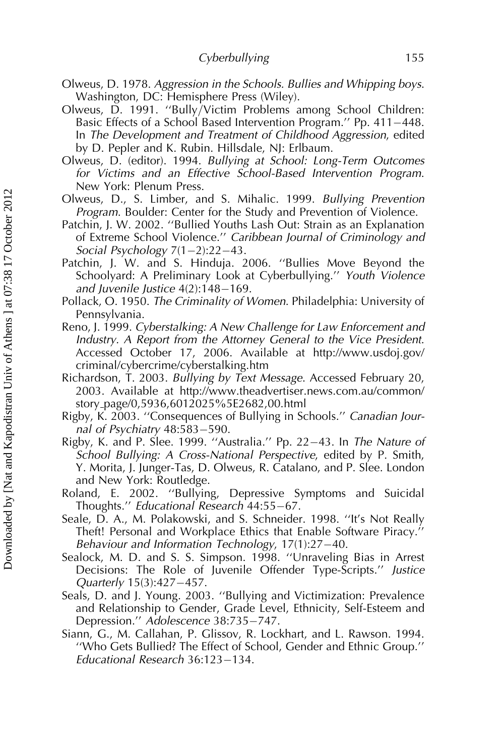- Olweus, D. 1978. Aggression in the Schools. Bullies and Whipping boys. Washington, DC: Hemisphere Press (Wiley).
- Olweus, D. 1991. "Bully/Victim Problems among School Children: Basic Effects of a School Based Intervention Program." Pp. 411–448. In The Development and Treatment of Childhood Aggression, edited by D. Pepler and K. Rubin. Hillsdale, NJ: Erlbaum.
- Olweus, D. (editor). 1994. Bullying at School: Long-Term Outcomes for Victims and an Effective School-Based Intervention Program. New York: Plenum Press.
- Olweus, D., S. Limber, and S. Mihalic. 1999. Bullying Prevention Program. Boulder: Center for the Study and Prevention of Violence.
- Patchin, J. W. 2002. ''Bullied Youths Lash Out: Strain as an Explanation of Extreme School Violence.'' Caribbean Journal of Criminology and Social Psychology  $7(1-2):22-43$ .
- Patchin, J. W. and S. Hinduja. 2006. ''Bullies Move Beyond the Schoolyard: A Preliminary Look at Cyberbullying.'' Youth Violence and Juvenile Justice  $4(2)$ :148-169.
- Pollack, O. 1950. The Criminality of Women. Philadelphia: University of Pennsylvania.
- Reno, J. 1999. Cyberstalking: A New Challenge for Law Enforcement and Industry. A Report from the Attorney General to the Vice President. Accessed October 17, 2006. Available at http://www.usdoj.gov/ criminal/cybercrime/cyberstalking.htm
- Richardson, T. 2003. Bullying by Text Message. Accessed February 20, 2003. Available at http://www.theadvertiser.news.com.au/common/ story page/0,5936,6012025%5E2682,00.html
- Rigby, K. 2003. ''Consequences of Bullying in Schools.'' Canadian Journal of Psychiatry  $48:583-590$ .
- Rigby, K. and P. Slee. 1999. "Australia." Pp. 22-43. In The Nature of School Bullying: A Cross-National Perspective, edited by P. Smith, Y. Morita, J. Junger-Tas, D. Olweus, R. Catalano, and P. Slee. London and New York: Routledge.
- Roland, E. 2002. ''Bullying, Depressive Symptoms and Suicidal Thoughts.'' Educational Research 44:55–67.
- Seale, D. A., M. Polakowski, and S. Schneider. 1998. ''It's Not Really Theft! Personal and Workplace Ethics that Enable Software Piracy.'' Behaviour and Information Technology,  $17(1):27-40$ .
- Sealock, M. D. and S. S. Simpson. 1998. ''Unraveling Bias in Arrest Decisions: The Role of Juvenile Offender Type-Scripts.'' Justice Quarterly 15(3):427-457.
- Seals, D. and J. Young. 2003. ''Bullying and Victimization: Prevalence and Relationship to Gender, Grade Level, Ethnicity, Self-Esteem and Depression." Adolescence 38:735-747.
- Siann, G., M. Callahan, P. Glissov, R. Lockhart, and L. Rawson. 1994. ''Who Gets Bullied? The Effect of School, Gender and Ethnic Group.'' Educational Research 36:123-134.